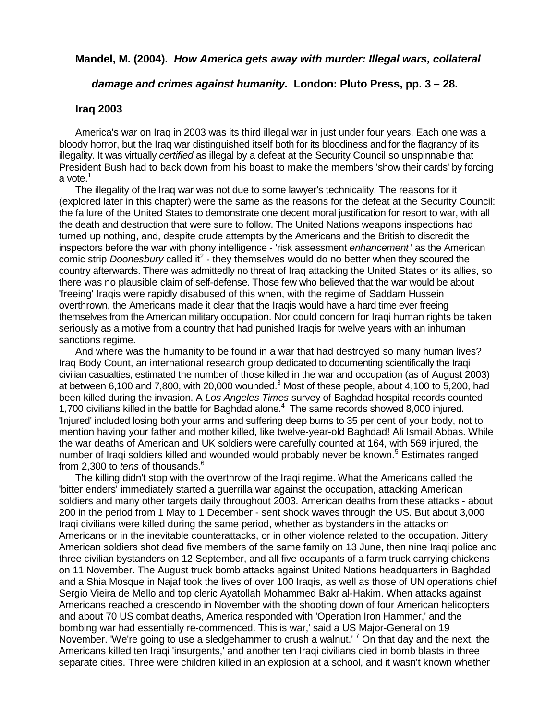## **Mandel, M. (2004).** *How America gets away with murder: Illegal wars, collateral*

# *damage and crimes against humanity.* **London: Pluto Press, pp. 3 – 28.**

### **Iraq 2003**

America's war on Iraq in 2003 was its third illegal war in just under four years. Each one was a bloody horror, but the Iraq war distinguished itself both for its bloodiness and for the flagrancy of its illegality. It was virtually *certified* as illegal by a defeat at the Security Council so unspinnable that President Bush had to back down from his boast to make the members 'show their cards' by forcing a vote.<sup>1</sup>

The illegality of the Iraq war was not due to some lawyer's technicality. The reasons for it (explored later in this chapter) were the same as the reasons for the defeat at the Security Council: the failure of the United States to demonstrate one decent moral justification for resort to war, with all the death and destruction that were sure to follow. The United Nations weapons inspections had turned up nothing, and, despite crude attempts by the Americans and the British to discredit the inspectors before the war with phony intelligence - 'risk assessment *enhancement* ' as the American comic strip *Doonesbury* called it<sup>2</sup> - they themselves would do no better when they scoured the country afterwards. There was admittedly no threat of Iraq attacking the United States or its allies, so there was no plausible claim of self-defense. Those few who believed that the war would be about 'freeing' Iraqis were rapidly disabused of this when, with the regime of Saddam Hussein overthrown, the Americans made it clear that the Iraqis would have a hard time ever freeing themselves from the American military occupation. Nor could concern for Iraqi human rights be taken seriously as a motive from a country that had punished Iraqis for twelve years with an inhuman sanctions regime.

And where was the humanity to be found in a war that had destroyed so many human lives? Iraq Body Count, an international research group dedicated to documenting scientifically the Iraqi civilian casualties, estimated the number of those killed in the war and occupation (as of August 2003) at between 6,100 and 7,800, with 20,000 wounded.<sup>3</sup> Most of these people, about 4,100 to 5,200, had been killed during the invasion. A *Los Angeles Times* survey of Baghdad hospital records counted 1,700 civilians killed in the battle for Baghdad alone.<sup>4</sup> The same records showed 8,000 injured. 'Injured' included losing both your arms and suffering deep burns to 35 per cent of your body, not to mention having your father and mother killed, like twelve-year-old Baghdad! Ali Ismail Abbas. While the war deaths of American and UK soldiers were carefully counted at 164, with 569 injured, the number of Iraqi soldiers killed and wounded would probably never be known.<sup>5</sup> Estimates ranged from 2,300 to *tens* of thousands.6

The killing didn't stop with the overthrow of the Iraqi regime. What the Americans called the 'bitter enders' immediately started a guerrilla war against the occupation, attacking American soldiers and many other targets daily throughout 2003. American deaths from these attacks - about 200 in the period from 1 May to 1 December - sent shock waves through the US. But about 3,000 Iraqi civilians were killed during the same period, whether as bystanders in the attacks on Americans or in the inevitable counterattacks, or in other violence related to the occupation. Jittery American soldiers shot dead five members of the same family on 13 June, then nine Iraqi police and three civilian bystanders on 12 September, and all five occupants of a farm truck carrying chickens on 11 November. The August truck bomb attacks against United Nations headquarters in Baghdad and a Shia Mosque in Najaf took the lives of over 100 Iraqis, as well as those of UN operations chief Sergio Vieira de Mello and top cleric Ayatollah Mohammed Bakr al-Hakim. When attacks against Americans reached a crescendo in November with the shooting down of four American helicopters and about 70 US combat deaths, America responded with 'Operation Iron Hammer,' and the bombing war had essentially re-commenced. This is war,' said a US Major-General on 19 November. 'We're going to use a sledgehammer to crush a walnut.'  $7$  On that day and the next, the Americans killed ten Iraqi 'insurgents,' and another ten Iraqi civilians died in bomb blasts in three separate cities. Three were children killed in an explosion at a school, and it wasn't known whether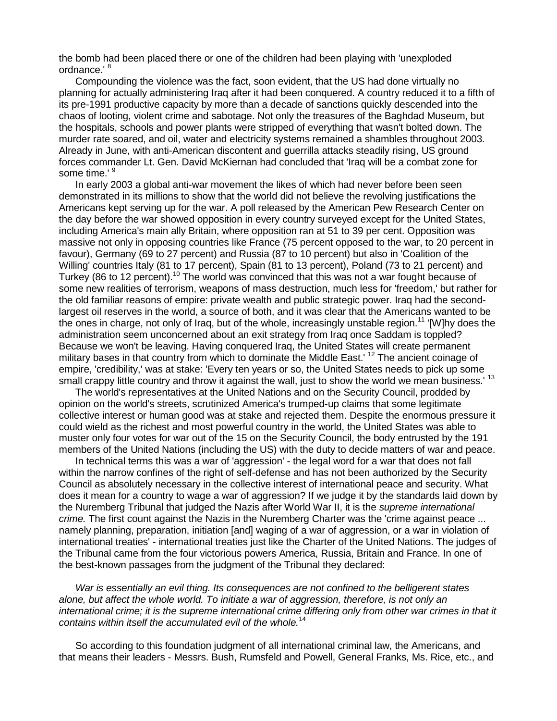the bomb had been placed there or one of the children had been playing with 'unexploded ordnance.' <sup>8</sup>

Compounding the violence was the fact, soon evident, that the US had done virtually no planning for actually administering Iraq after it had been conquered. A country reduced it to a fifth of its pre-1991 productive capacity by more than a decade of sanctions quickly descended into the chaos of looting, violent crime and sabotage. Not only the treasures of the Baghdad Museum, but the hospitals, schools and power plants were stripped of everything that wasn't bolted down. The murder rate soared, and oil, water and electricity systems remained a shambles throughout 2003. Already in June, with anti-American discontent and guerrilla attacks steadily rising, US ground forces commander Lt. Gen. David McKiernan had concluded that 'Iraq will be a combat zone for some time.'<sup>9</sup>

In early 2003 a global anti-war movement the likes of which had never before been seen demonstrated in its millions to show that the world did not believe the revolving justifications the Americans kept serving up for the war. A poll released by the American Pew Research Center on the day before the war showed opposition in every country surveyed except for the United States, including America's main ally Britain, where opposition ran at 51 to 39 per cent. Opposition was massive not only in opposing countries like France (75 percent opposed to the war, to 20 percent in favour), Germany (69 to 27 percent) and Russia (87 to 10 percent) but also in 'Coalition of the Willing' countries Italy (81 to 17 percent), Spain (81 to 13 percent), Poland (73 to 21 percent) and Turkey (86 to 12 percent).<sup>10</sup> The world was convinced that this was not a war fought because of some new realities of terrorism, weapons of mass destruction, much less for 'freedom,' but rather for the old familiar reasons of empire: private wealth and public strategic power. Iraq had the secondlargest oil reserves in the world, a source of both, and it was clear that the Americans wanted to be the ones in charge, not only of Iraq, but of the whole, increasingly unstable region.<sup>11</sup> '[W]hy does the administration seem unconcerned about an exit strategy from Iraq once Saddam is toppled? Because we won't be leaving. Having conquered Iraq, the United States will create permanent military bases in that country from which to dominate the Middle East.' <sup>12</sup> The ancient coinage of empire, 'credibility,' was at stake: 'Every ten years or so, the United States needs to pick up some small crappy little country and throw it against the wall, just to show the world we mean business.<sup>' 13</sup>

The world's representatives at the United Nations and on the Security Council, prodded by opinion on the world's streets, scrutinized America's trumped-up claims that some legitimate collective interest or human good was at stake and rejected them. Despite the enormous pressure it could wield as the richest and most powerful country in the world, the United States was able to muster only four votes for war out of the 15 on the Security Council, the body entrusted by the 191 members of the United Nations (including the US) with the duty to decide matters of war and peace.

In technical terms this was a war of 'aggression' - the legal word for a war that does not fall within the narrow confines of the right of self-defense and has not been authorized by the Security Council as absolutely necessary in the collective interest of international peace and security. What does it mean for a country to wage a war of aggression? If we judge it by the standards laid down by the Nuremberg Tribunal that judged the Nazis after World War II, it is the *supreme international crime.* The first count against the Nazis in the Nuremberg Charter was the 'crime against peace ... namely planning, preparation, initiation [and] waging of a war of aggression, or a war in violation of international treaties' - international treaties just like the Charter of the United Nations. The judges of the Tribunal came from the four victorious powers America, Russia, Britain and France. In one of the best-known passages from the judgment of the Tribunal they declared:

*War is essentially an evil thing. Its consequences are not confined to the belligerent states alone, but affect the whole world. To initiate a war of aggression, therefore, is not only an international crime; it is the supreme international crime differing only from other war crimes in that it contains within itself the accumulated evil of the whole.*<sup>14</sup>

So according to this foundation judgment of all international criminal law, the Americans, and that means their leaders - Messrs. Bush, Rumsfeld and Powell, General Franks, Ms. Rice, etc., and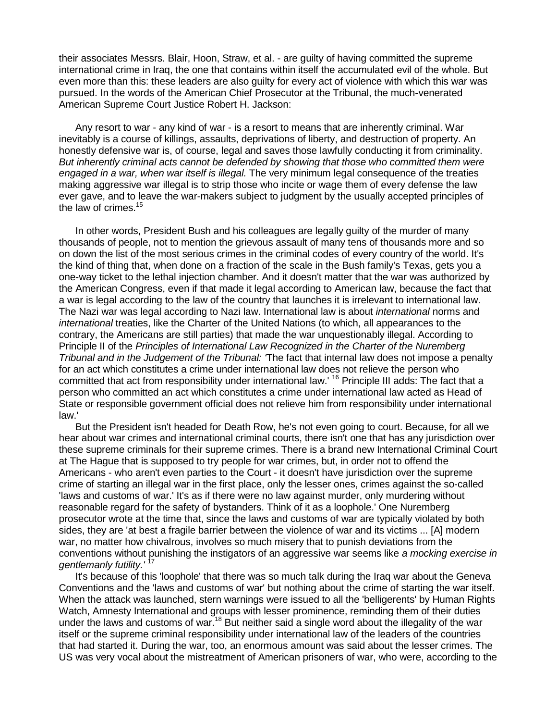their associates Messrs. Blair, Hoon, Straw, et al. - are guilty of having committed the supreme international crime in Iraq, the one that contains within itself the accumulated evil of the whole. But even more than this: these leaders are also quilty for every act of violence with which this war was pursued. In the words of the American Chief Prosecutor at the Tribunal, the much-venerated American Supreme Court Justice Robert H. Jackson:

Any resort to war - any kind of war - is a resort to means that are inherently criminal. War inevitably is a course of killings, assaults, deprivations of liberty, and destruction of property. An honestly defensive war is, of course, legal and saves those lawfully conducting it from criminality. *But inherently criminal acts cannot be defended by showing that those who committed them were engaged in a war, when war itself is illegal.* The very minimum legal consequence of the treaties making aggressive war illegal is to strip those who incite or wage them of every defense the law ever gave, and to leave the war-makers subject to judgment by the usually accepted principles of the law of crimes.<sup>15</sup>

In other words, President Bush and his colleagues are legally guilty of the murder of many thousands of people, not to mention the grievous assault of many tens of thousands more and so on down the list of the most serious crimes in the criminal codes of every country of the world. It's the kind of thing that, when done on a fraction of the scale in the Bush family's Texas, gets you a one-way ticket to the lethal injection chamber. And it doesn't matter that the war was authorized by the American Congress, even if that made it legal according to American law, because the fact that a war is legal according to the law of the country that launches it is irrelevant to international law. The Nazi war was legal according to Nazi law. International law is about *international* norms and *international* treaties, like the Charter of the United Nations (to which, all appearances to the contrary, the Americans are still parties) that made the war unquestionably illegal. According to Principle II of the *Principles of International Law Recognized in the Charter of the Nuremberg Tribunal and in the Judgement of the Tribunal: '*The fact that internal law does not impose a penalty for an act which constitutes a crime under international law does not relieve the person who committed that act from responsibility under international law.<sup>' 16</sup> Principle III adds: The fact that a person who committed an act which constitutes a crime under international law acted as Head of State or responsible government official does not relieve him from responsibility under international law.'

But the President isn't headed for Death Row, he's not even going to court. Because, for all we hear about war crimes and international criminal courts, there isn't one that has any jurisdiction over these supreme criminals for their supreme crimes. There is a brand new International Criminal Court at The Hague that is supposed to try people for war crimes, but, in order not to offend the Americans - who aren't even parties to the Court - it doesn't have jurisdiction over the supreme crime of starting an illegal war in the first place, only the lesser ones, crimes against the so-called 'laws and customs of war.' It's as if there were no law against murder, only murdering without reasonable regard for the safety of bystanders. Think of it as a loophole.' One Nuremberg prosecutor wrote at the time that, since the laws and customs of war are typically violated by both sides, they are 'at best a fragile barrier between the violence of war and its victims ... [A] modern war, no matter how chivalrous, involves so much misery that to punish deviations from the conventions without punishing the instigators of an aggressive war seems like *a mocking exercise in gentlemanly futility.'* <sup>17</sup>

It's because of this 'loophole' that there was so much talk during the Iraq war about the Geneva Conventions and the 'laws and customs of war' but nothing about the crime of starting the war itself. When the attack was launched, stern warnings were issued to all the 'belligerents' by Human Rights Watch, Amnesty International and groups with lesser prominence, reminding them of their duties under the laws and customs of war.<sup>18</sup> But neither said a single word about the illegality of the war itself or the supreme criminal responsibility under international law of the leaders of the countries that had started it. During the war, too, an enormous amount was said about the lesser crimes. The US was very vocal about the mistreatment of American prisoners of war, who were, according to the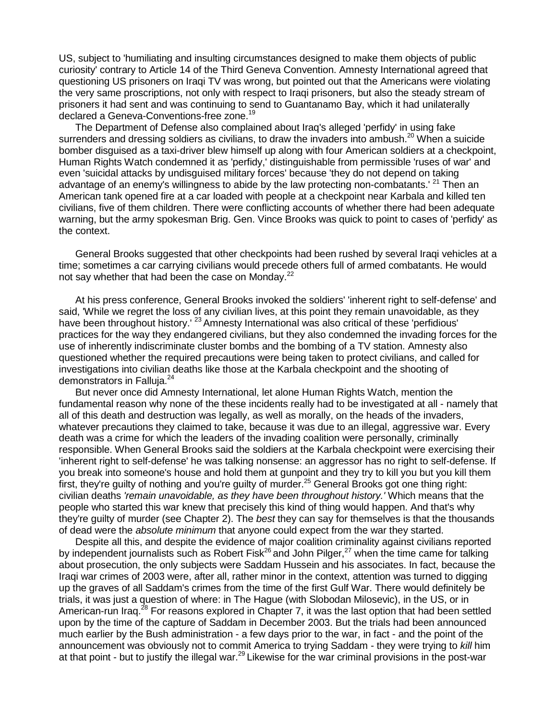US, subject to 'humiliating and insulting circumstances designed to make them objects of public curiosity' contrary to Article 14 of the Third Geneva Convention. Amnesty International agreed that questioning US prisoners on Iraqi TV was wrong, but pointed out that the Americans were violating the very same proscriptions, not only with respect to Iraqi prisoners, but also the steady stream of prisoners it had sent and was continuing to send to Guantanamo Bay, which it had unilaterally declared a Geneva-Conventions-free zone.<sup>19</sup>

The Department of Defense also complained about Iraq's alleged 'perfidy' in using fake surrenders and dressing soldiers as civilians, to draw the invaders into ambush. $^{20}$  When a suicide bomber disguised as a taxi-driver blew himself up along with four American soldiers at a checkpoint, Human Rights Watch condemned it as 'perfidy,' distinguishable from permissible 'ruses of war' and even 'suicidal attacks by undisguised military forces' because 'they do not depend on taking advantage of an enemy's willingness to abide by the law protecting non-combatants.<sup>' 21</sup> Then an American tank opened fire at a car loaded with people at a checkpoint near Karbala and killed ten civilians, five of them children. There were conflicting accounts of whether there had been adequate warning, but the army spokesman Brig. Gen. Vince Brooks was quick to point to cases of 'perfidy' as the context.

General Brooks suggested that other checkpoints had been rushed by several Iraqi vehicles at a time; sometimes a car carrying civilians would precede others full of armed combatants. He would not say whether that had been the case on Monday.<sup>22</sup>

At his press conference, General Brooks invoked the soldiers' 'inherent right to self-defense' and said, 'While we regret the loss of any civilian lives, at this point they remain unavoidable, as they have been throughout history.<sup>' 23</sup> Amnesty International was also critical of these 'perfidious' practices for the way they endangered civilians, but they also condemned the invading forces for the use of inherently indiscriminate cluster bombs and the bombing of a TV station. Amnesty also questioned whether the required precautions were being taken to protect civilians, and called for investigations into civilian deaths like those at the Karbala checkpoint and the shooting of demonstrators in Falluja.<sup>24</sup>

But never once did Amnesty International, let alone Human Rights Watch, mention the fundamental reason why none of the these incidents really had to be investigated at all - namely that all of this death and destruction was legally, as well as morally, on the heads of the invaders, whatever precautions they claimed to take, because it was due to an illegal, aggressive war. Every death was a crime for which the leaders of the invading coalition were personally, criminally responsible. When General Brooks said the soldiers at the Karbala checkpoint were exercising their 'inherent right to self-defense' he was talking nonsense: an aggressor has no right to self-defense. If you break into someone's house and hold them at gunpoint and they try to kill you but you kill them first, they're guilty of nothing and you're guilty of murder.<sup>25</sup> General Brooks got one thing right: civilian deaths *'remain unavoidable, as they have been throughout history.'* Which means that the people who started this war knew that precisely this kind of thing would happen. And that's why they're guilty of murder (see Chapter 2). The *best* they can say for themselves is that the thousands of dead were the *absolute minimum* that anyone could expect from the war they started.

Despite all this, and despite the evidence of major coalition criminality against civilians reported by independent journalists such as Robert Fisk<sup>26</sup> and John Pilger,<sup>27</sup> when the time came for talking about prosecution, the only subjects were Saddam Hussein and his associates. In fact, because the Iraqi war crimes of 2003 were, after all, rather minor in the context, attention was turned to digging up the graves of all Saddam's crimes from the time of the first Gulf War. There would definitely be trials, it was just a question of where: in The Hague (with Slobodan Milosevic), in the US, or in American-run Iraq.<sup>28</sup> For reasons explored in Chapter 7, it was the last option that had been settled upon by the time of the capture of Saddam in December 2003. But the trials had been announced much earlier by the Bush administration - a few days prior to the war, in fact - and the point of the announcement was obviously not to commit America to trying Saddam - they were trying to *kill* him at that point - but to justify the illegal war.<sup>29</sup> Likewise for the war criminal provisions in the post-war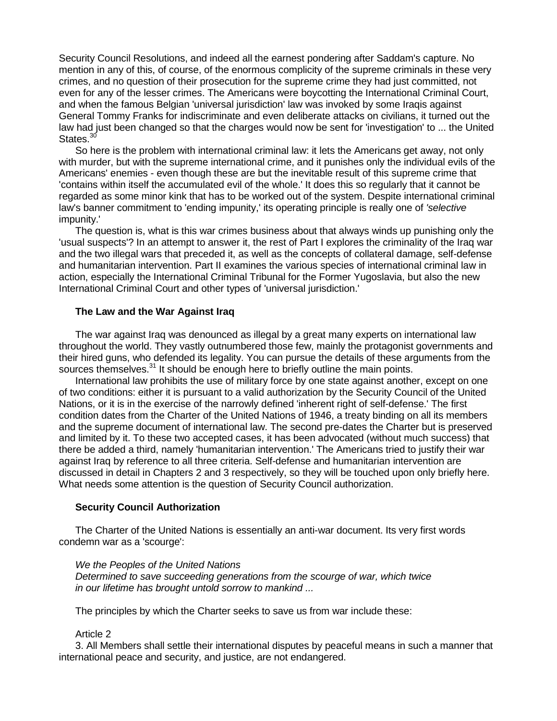Security Council Resolutions, and indeed all the earnest pondering after Saddam's capture. No mention in any of this, of course, of the enormous complicity of the supreme criminals in these very crimes, and no question of their prosecution for the supreme crime they had just committed, not even for any of the lesser crimes. The Americans were boycotting the International Criminal Court, and when the famous Belgian 'universal jurisdiction' law was invoked by some Iraqis against General Tommy Franks for indiscriminate and even deliberate attacks on civilians, it turned out the law had just been changed so that the charges would now be sent for 'investigation' to ... the United States.<sup>30</sup>

So here is the problem with international criminal law: it lets the Americans get away, not only with murder, but with the supreme international crime, and it punishes only the individual evils of the Americans' enemies - even though these are but the inevitable result of this supreme crime that 'contains within itself the accumulated evil of the whole.' It does this so regularly that it cannot be regarded as some minor kink that has to be worked out of the system. Despite international criminal law's banner commitment to 'ending impunity,' its operating principle is really one of *'selective*  impunity.'

The question is, what is this war crimes business about that always winds up punishing only the 'usual suspects'? In an attempt to answer it, the rest of Part I explores the criminality of the Iraq war and the two illegal wars that preceded it, as well as the concepts of collateral damage, self-defense and humanitarian intervention. Part II examines the various species of international criminal law in action, especially the International Criminal Tribunal for the Former Yugoslavia, but also the new International Criminal Court and other types of 'universal jurisdiction.'

## **The Law and the War Against Iraq**

The war against Iraq was denounced as illegal by a great many experts on international law throughout the world. They vastly outnumbered those few, mainly the protagonist governments and their hired guns, who defended its legality. You can pursue the details of these arguments from the sources themselves.<sup>31</sup> It should be enough here to briefly outline the main points.

International law prohibits the use of military force by one state against another, except on one of two conditions: either it is pursuant to a valid authorization by the Security Council of the United Nations, or it is in the exercise of the narrowly defined 'inherent right of self-defense.' The first condition dates from the Charter of the United Nations of 1946, a treaty binding on all its members and the supreme document of international law. The second pre-dates the Charter but is preserved and limited by it. To these two accepted cases, it has been advocated (without much success) that there be added a third, namely 'humanitarian intervention.' The Americans tried to justify their war against Iraq by reference to all three criteria. Self-defense and humanitarian intervention are discussed in detail in Chapters 2 and 3 respectively, so they will be touched upon only briefly here. What needs some attention is the question of Security Council authorization.

## **Security Council Authorization**

The Charter of the United Nations is essentially an anti-war document. Its very first words condemn war as a 'scourge':

#### *We the Peoples of the United Nations*

*Determined to save succeeding generations from the scourge of war, which twice in our lifetime has brought untold sorrow to mankind ...*

The principles by which the Charter seeks to save us from war include these:

### Article 2

3. All Members shall settle their international disputes by peaceful means in such a manner that international peace and security, and justice, are not endangered.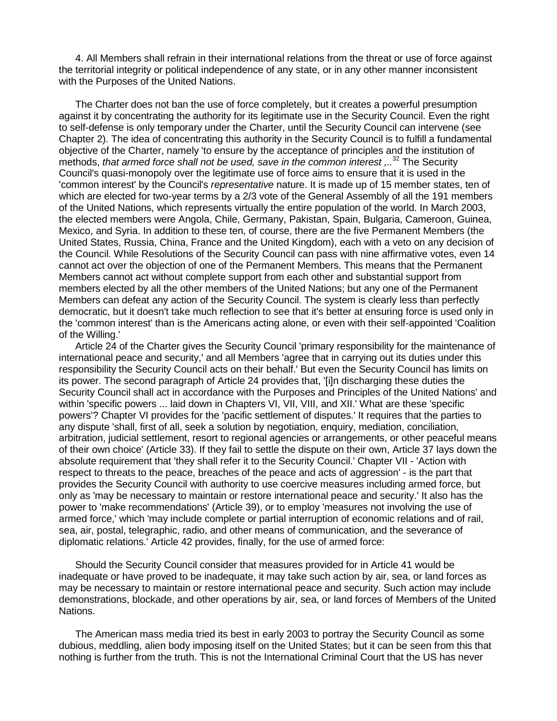4. All Members shall refrain in their international relations from the threat or use of force against the territorial integrity or political independence of any state, or in any other manner inconsistent with the Purposes of the United Nations.

The Charter does not ban the use of force completely, but it creates a powerful presumption against it by concentrating the authority for its legitimate use in the Security Council. Even the right to self-defense is only temporary under the Charter, until the Security Council can intervene (see Chapter 2). The idea of concentrating this authority in the Security Council is to fulfill a fundamental objective of the Charter, namely 'to ensure by the acceptance of principles and the institution of methods, *that armed force shall not be used, save in the common interest ,..*<sup>32</sup> The Security Council's quasi-monopoly over the legitimate use of force aims to ensure that it is used in the 'common interest' by the Council's *representative* nature. It is made up of 15 member states, ten of which are elected for two-year terms by a 2/3 vote of the General Assembly of all the 191 members of the United Nations, which represents virtually the entire population of the world. In March 2003, the elected members were Angola, Chile, Germany, Pakistan, Spain, Bulgaria, Cameroon, Guinea, Mexico, and Syria. In addition to these ten, of course, there are the five Permanent Members (the United States, Russia, China, France and the United Kingdom), each with a veto on any decision of the Council. While Resolutions of the Security Council can pass with nine affirmative votes, even 14 cannot act over the objection of one of the Permanent Members. This means that the Permanent Members cannot act without complete support from each other and substantial support from members elected by all the other members of the United Nations; but any one of the Permanent Members can defeat any action of the Security Council. The system is clearly less than perfectly democratic, but it doesn't take much reflection to see that it's better at ensuring force is used only in the 'common interest' than is the Americans acting alone, or even with their self-appointed 'Coalition of the Willing.'

Article 24 of the Charter gives the Security Council 'primary responsibility for the maintenance of international peace and security,' and all Members 'agree that in carrying out its duties under this responsibility the Security Council acts on their behalf.' But even the Security Council has limits on its power. The second paragraph of Article 24 provides that, '[i]n discharging these duties the Security Council shall act in accordance with the Purposes and Principles of the United Nations' and within 'specific powers ... laid down in Chapters VI, VII, VIII, and XII.' What are these 'specific powers'? Chapter VI provides for the 'pacific settlement of disputes.' It requires that the parties to any dispute 'shall, first of all, seek a solution by negotiation, enquiry, mediation, conciliation, arbitration, judicial settlement, resort to regional agencies or arrangements, or other peaceful means of their own choice' (Article 33). If they fail to settle the dispute on their own, Article 37 lays down the absolute requirement that 'they shall refer it to the Security Council.' Chapter VII - 'Action with respect to threats to the peace, breaches of the peace and acts of aggression' - is the part that provides the Security Council with authority to use coercive measures including armed force, but only as 'may be necessary to maintain or restore international peace and security.' It also has the power to 'make recommendations' (Article 39), or to employ 'measures not involving the use of armed force,' which 'may include complete or partial interruption of economic relations and of rail, sea, air, postal, telegraphic, radio, and other means of communication, and the severance of diplomatic relations.' Article 42 provides, finally, for the use of armed force:

Should the Security Council consider that measures provided for in Article 41 would be inadequate or have proved to be inadequate, it may take such action by air, sea, or land forces as may be necessary to maintain or restore international peace and security. Such action may include demonstrations, blockade, and other operations by air, sea, or land forces of Members of the United Nations.

The American mass media tried its best in early 2003 to portray the Security Council as some dubious, meddling, alien body imposing itself on the United States; but it can be seen from this that nothing is further from the truth. This is not the International Criminal Court that the US has never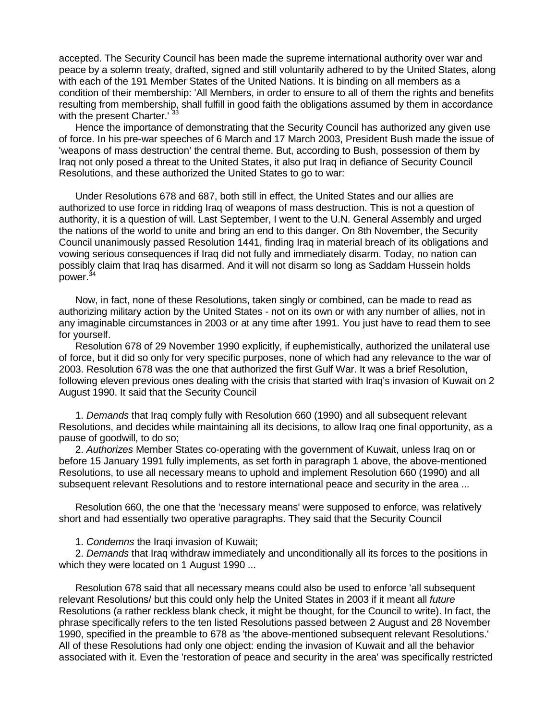accepted. The Security Council has been made the supreme international authority over war and peace by a solemn treaty, drafted, signed and still voluntarily adhered to by the United States, along with each of the 191 Member States of the United Nations. It is binding on all members as a condition of their membership: 'All Members, in order to ensure to all of them the rights and benefits resulting from membership, shall fulfill in good faith the obligations assumed by them in accordance with the present Charter.' 33

Hence the importance of demonstrating that the Security Council has authorized any given use of force. In his pre-war speeches of 6 March and 17 March 2003, President Bush made the issue of 'weapons of mass destruction' the central theme. But, according to Bush, possession of them by Iraq not only posed a threat to the United States, it also put Iraq in defiance of Security Council Resolutions, and these authorized the United States to go to war:

Under Resolutions 678 and 687, both still in effect, the United States and our allies are authorized to use force in ridding Iraq of weapons of mass destruction. This is not a question of authority, it is a question of will. Last September, I went to the U.N. General Assembly and urged the nations of the world to unite and bring an end to this danger. On 8th November, the Security Council unanimously passed Resolution 1441, finding Iraq in material breach of its obligations and vowing serious consequences if Iraq did not fully and immediately disarm. Today, no nation can possibly claim that Iraq has disarmed. And it will not disarm so long as Saddam Hussein holds power.34

Now, in fact, none of these Resolutions, taken singly or combined, can be made to read as authorizing military action by the United States - not on its own or with any number of allies, not in any imaginable circumstances in 2003 or at any time after 1991. You just have to read them to see for yourself.

Resolution 678 of 29 November 1990 explicitly, if euphemistically, authorized the unilateral use of force, but it did so only for very specific purposes, none of which had any relevance to the war of 2003. Resolution 678 was the one that authorized the first Gulf War. It was a brief Resolution, following eleven previous ones dealing with the crisis that started with Iraq's invasion of Kuwait on 2 August 1990. It said that the Security Council

1. *Demands* that Iraq comply fully with Resolution 660 (1990) and all subsequent relevant Resolutions, and decides while maintaining all its decisions, to allow Iraq one final opportunity, as a pause of goodwill, to do so;

2. *Authorizes* Member States co-operating with the government of Kuwait, unless Iraq on or before 15 January 1991 fully implements, as set forth in paragraph 1 above, the above-mentioned Resolutions, to use all necessary means to uphold and implement Resolution 660 (1990) and all subsequent relevant Resolutions and to restore international peace and security in the area ...

Resolution 660, the one that the 'necessary means' were supposed to enforce, was relatively short and had essentially two operative paragraphs. They said that the Security Council

1. *Condemns* the Iraqi invasion of Kuwait;

2. *Demands* that Iraq withdraw immediately and unconditionally all its forces to the positions in which they were located on 1 August 1990 ...

Resolution 678 said that all necessary means could also be used to enforce 'all subsequent relevant Resolutions/ but this could only help the United States in 2003 if it meant all *future*  Resolutions (a rather reckless blank check, it might be thought, for the Council to write). In fact, the phrase specifically refers to the ten listed Resolutions passed between 2 August and 28 November 1990, specified in the preamble to 678 as 'the above-mentioned subsequent relevant Resolutions.' All of these Resolutions had only one object: ending the invasion of Kuwait and all the behavior associated with it. Even the 'restoration of peace and security in the area' was specifically restricted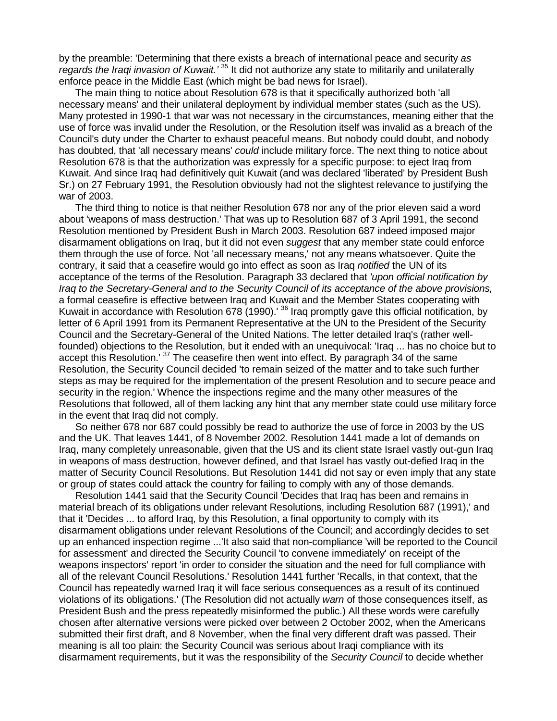by the preamble: 'Determining that there exists a breach of international peace and security *as regards the Iraqi invasion of Kuwait.'* <sup>35</sup> It did not authorize any state to militarily and unilaterally enforce peace in the Middle East (which might be bad news for Israel).

The main thing to notice about Resolution 678 is that it specifically authorized both 'all necessary means' and their unilateral deployment by individual member states (such as the US). Many protested in 1990-1 that war was not necessary in the circumstances, meaning either that the use of force was invalid under the Resolution, or the Resolution itself was invalid as a breach of the Council's duty under the Charter to exhaust peaceful means. But nobody could doubt, and nobody has doubted, that 'all necessary means' *could* include military force. The next thing to notice about Resolution 678 is that the authorization was expressly for a specific purpose: to eject Iraq from Kuwait. And since Iraq had definitively quit Kuwait (and was declared 'liberated' by President Bush Sr.) on 27 February 1991, the Resolution obviously had not the slightest relevance to justifying the war of 2003.

The third thing to notice is that neither Resolution 678 nor any of the prior eleven said a word about 'weapons of mass destruction.' That was up to Resolution 687 of 3 April 1991, the second Resolution mentioned by President Bush in March 2003. Resolution 687 indeed imposed major disarmament obligations on Iraq, but it did not even *suggest* that any member state could enforce them through the use of force. Not 'all necessary means,' not any means whatsoever. Quite the contrary, it said that a ceasefire would go into effect as soon as Iraq *notified* the UN of its acceptance of the terms of the Resolution. Paragraph 33 declared that *'upon official notification by Iraq to the Secretary-General and to the Security Council of its acceptance of the above provisions,*  a formal ceasefire is effective between Iraq and Kuwait and the Member States cooperating with Kuwait in accordance with Resolution 678 (1990).<sup>136</sup> Iraq promptly gave this official notification, by letter of 6 April 1991 from its Permanent Representative at the UN to the President of the Security Council and the Secretary-General of the United Nations. The letter detailed Iraq's (rather wellfounded) objections to the Resolution, but it ended with an unequivocal: 'Iraq ... has no choice but to accept this Resolution.' <sup>37</sup> The ceasefire then went into effect. By paragraph 34 of the same Resolution, the Security Council decided 'to remain seized of the matter and to take such further steps as may be required for the implementation of the present Resolution and to secure peace and security in the region.' Whence the inspections regime and the many other measures of the Resolutions that followed, all of them lacking any hint that any member state could use military force in the event that Iraq did not comply.

So neither 678 nor 687 could possibly be read to authorize the use of force in 2003 by the US and the UK. That leaves 1441, of 8 November 2002. Resolution 1441 made a lot of demands on Iraq, many completely unreasonable, given that the US and its client state Israel vastly out-gun Iraq in weapons of mass destruction, however defined, and that Israel has vastly out-defied Iraq in the matter of Security Council Resolutions. But Resolution 1441 did not say or even imply that any state or group of states could attack the country for failing to comply with any of those demands.

Resolution 1441 said that the Security Council 'Decides that Iraq has been and remains in material breach of its obligations under relevant Resolutions, including Resolution 687 (1991),' and that it 'Decides ... to afford Iraq, by this Resolution, a final opportunity to comply with its disarmament obligations under relevant Resolutions of the Council; and accordingly decides to set up an enhanced inspection regime ...'It also said that non-compliance 'will be reported to the Council for assessment' and directed the Security Council 'to convene immediately' on receipt of the weapons inspectors' report 'in order to consider the situation and the need for full compliance with all of the relevant Council Resolutions.' Resolution 1441 further 'Recalls, in that context, that the Council has repeatedly warned Iraq it will face serious consequences as a result of its continued violations of its obligations.' (The Resolution did not actually *warn* of those consequences itself, as President Bush and the press repeatedly misinformed the public.) All these words were carefully chosen after alternative versions were picked over between 2 October 2002, when the Americans submitted their first draft, and 8 November, when the final very different draft was passed. Their meaning is all too plain: the Security Council was serious about Iraqi compliance with its disarmament requirements, but it was the responsibility of the *Security Council* to decide whether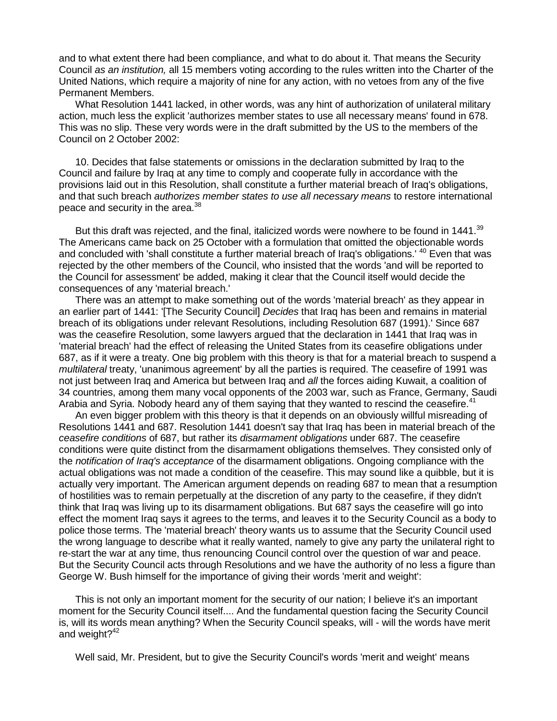and to what extent there had been compliance, and what to do about it. That means the Security Council *as an institution,* all 15 members voting according to the rules written into the Charter of the United Nations, which require a majority of nine for any action, with no vetoes from any of the five Permanent Members.

What Resolution 1441 lacked, in other words, was any hint of authorization of unilateral military action, much less the explicit 'authorizes member states to use all necessary means' found in 678. This was no slip. These very words were in the draft submitted by the US to the members of the Council on 2 October 2002:

10. Decides that false statements or omissions in the declaration submitted by Iraq to the Council and failure by Iraq at any time to comply and cooperate fully in accordance with the provisions laid out in this Resolution, shall constitute a further material breach of Iraq's obligations, and that such breach *authorizes member states to use all necessary means* to restore international peace and security in the area.<sup>38</sup>

But this draft was rejected, and the final, italicized words were nowhere to be found in  $1441.^{39}$ The Americans came back on 25 October with a formulation that omitted the objectionable words and concluded with 'shall constitute a further material breach of Iraq's obligations.' <sup>40</sup> Even that was rejected by the other members of the Council, who insisted that the words 'and will be reported to the Council for assessment' be added, making it clear that the Council itself would decide the consequences of any 'material breach.'

There was an attempt to make something out of the words 'material breach' as they appear in an earlier part of 1441: '[The Security Council] *Decides* that Iraq has been and remains in material breach of its obligations under relevant Resolutions, including Resolution 687 (1991).' Since 687 was the ceasefire Resolution, some lawyers argued that the declaration in 1441 that Iraq was in 'material breach' had the effect of releasing the United States from its ceasefire obligations under 687, as if it were a treaty. One big problem with this theory is that for a material breach to suspend a *multilateral* treaty, 'unanimous agreement' by all the parties is required. The ceasefire of 1991 was not just between Iraq and America but between Iraq and *all* the forces aiding Kuwait, a coalition of 34 countries, among them many vocal opponents of the 2003 war, such as France, Germany, Saudi Arabia and Syria. Nobody heard any of them saying that they wanted to rescind the ceasefire.<sup>41</sup>

An even bigger problem with this theory is that it depends on an obviously willful misreading of Resolutions 1441 and 687. Resolution 1441 doesn't say that Iraq has been in material breach of the *ceasefire conditions* of 687, but rather its *disarmament obligations* under 687. The ceasefire conditions were quite distinct from the disarmament obligations themselves. They consisted only of the *notification of Iraq's acceptance* of the disarmament obligations. Ongoing compliance with the actual obligations was not made a condition of the ceasefire. This may sound like a quibble, but it is actually very important. The American argument depends on reading 687 to mean that a resumption of hostilities was to remain perpetually at the discretion of any party to the ceasefire, if they didn't think that Iraq was living up to its disarmament obligations. But 687 says the ceasefire will go into effect the moment Iraq says it agrees to the terms, and leaves it to the Security Council as a body to police those terms. The 'material breach' theory wants us to assume that the Security Council used the wrong language to describe what it really wanted, namely to give any party the unilateral right to re-start the war at any time, thus renouncing Council control over the question of war and peace. But the Security Council acts through Resolutions and we have the authority of no less a figure than George W. Bush himself for the importance of giving their words 'merit and weight':

This is not only an important moment for the security of our nation; I believe it's an important moment for the Security Council itself.... And the fundamental question facing the Security Council is, will its words mean anything? When the Security Council speaks, will - will the words have merit and weight $2^{42}$ 

Well said, Mr. President, but to give the Security Council's words 'merit and weight' means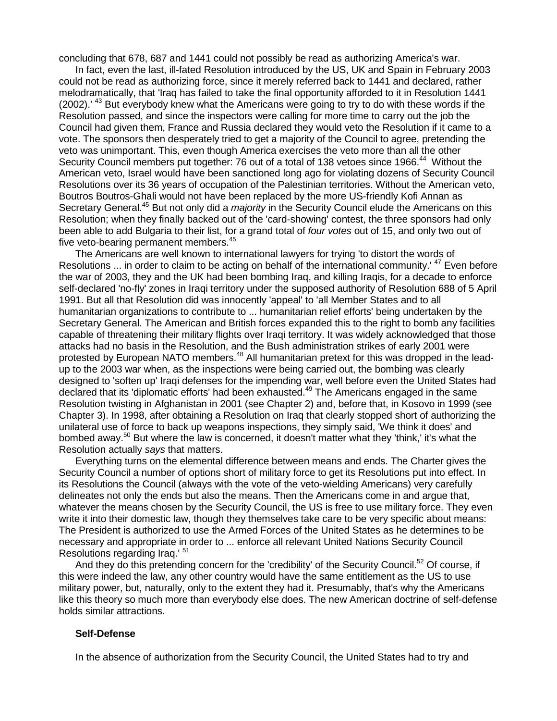concluding that 678, 687 and 1441 could not possibly be read as authorizing America's war.

In fact, even the last, ill-fated Resolution introduced by the US, UK and Spain in February 2003 could not be read as authorizing force, since it merely referred back to 1441 and declared, rather melodramatically, that 'Iraq has failed to take the final opportunity afforded to it in Resolution 1441  $(2002)$ .<sup>43</sup> But everybody knew what the Americans were going to try to do with these words if the Resolution passed, and since the inspectors were calling for more time to carry out the job the Council had given them, France and Russia declared they would veto the Resolution if it came to a vote. The sponsors then desperately tried to get a majority of the Council to agree, pretending the veto was unimportant. This, even though America exercises the veto more than all the other Security Council members put together: 76 out of a total of 138 vetoes since 1966.<sup>44</sup> Without the American veto, Israel would have been sanctioned long ago for violating dozens of Security Council Resolutions over its 36 years of occupation of the Palestinian territories. Without the American veto, Boutros Boutros-Ghali would not have been replaced by the more US-friendly Kofi Annan as Secretary General.45 But not only did a *majority* in the Security Council elude the Americans on this Resolution; when they finally backed out of the 'card-showing' contest, the three sponsors had only been able to add Bulgaria to their list, for a grand total of *four votes* out of 15, and only two out of five veto-bearing permanent members.<sup>45</sup>

The Americans are well known to international lawyers for trying 'to distort the words of Resolutions ... in order to claim to be acting on behalf of the international community.<sup>47</sup> Even before the war of 2003, they and the UK had been bombing Iraq, and killing Iraqis, for a decade to enforce self-declared 'no-fly' zones in Iraqi territory under the supposed authority of Resolution 688 of 5 April 1991. But all that Resolution did was innocently 'appeal' to 'all Member States and to all humanitarian organizations to contribute to ... humanitarian relief efforts' being undertaken by the Secretary General. The American and British forces expanded this to the right to bomb any facilities capable of threatening their military flights over Iraqi territory. It was widely acknowledged that those attacks had no basis in the Resolution, and the Bush administration strikes of early 2001 were protested by European NATO members.<sup>48</sup> All humanitarian pretext for this was dropped in the leadup to the 2003 war when, as the inspections were being carried out, the bombing was clearly designed to 'soften up' Iraqi defenses for the impending war, well before even the United States had declared that its 'diplomatic efforts' had been exhausted.<sup>49</sup> The Americans engaged in the same Resolution twisting in Afghanistan in 2001 (see Chapter 2) and, before that, in Kosovo in 1999 (see Chapter 3). In 1998, after obtaining a Resolution on Iraq that clearly stopped short of authorizing the unilateral use of force to back up weapons inspections, they simply said, 'We think it does' and bombed away.<sup>50</sup> But where the law is concerned, it doesn't matter what they 'think,' it's what the Resolution actually *says* that matters.

Everything turns on the elemental difference between means and ends. The Charter gives the Security Council a number of options short of military force to get its Resolutions put into effect. In its Resolutions the Council (always with the vote of the veto-wielding Americans) very carefully delineates not only the ends but also the means. Then the Americans come in and argue that, whatever the means chosen by the Security Council, the US is free to use military force. They even write it into their domestic law, though they themselves take care to be very specific about means: The President is authorized to use the Armed Forces of the United States as he determines to be necessary and appropriate in order to ... enforce all relevant United Nations Security Council Resolutions regarding Iraq.' <sup>51</sup>

And they do this pretending concern for the 'credibility' of the Security Council.<sup>52</sup> Of course, if this were indeed the law, any other country would have the same entitlement as the US to use military power, but, naturally, only to the extent they had it. Presumably, that's why the Americans like this theory so much more than everybody else does. The new American doctrine of self-defense holds similar attractions.

### **Self-Defense**

In the absence of authorization from the Security Council, the United States had to try and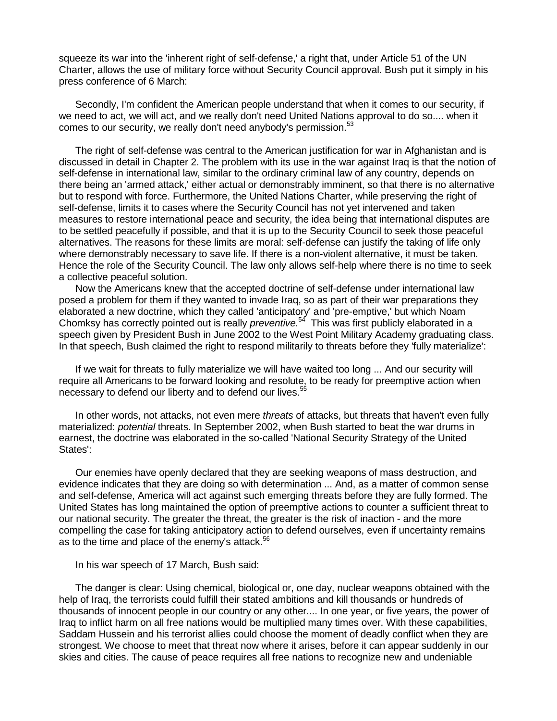squeeze its war into the 'inherent right of self-defense,' a right that, under Article 51 of the UN Charter, allows the use of military force without Security Council approval. Bush put it simply in his press conference of 6 March:

Secondly, I'm confident the American people understand that when it comes to our security, if we need to act, we will act, and we really don't need United Nations approval to do so.... when it comes to our security, we really don't need anybody's permission.<sup>53</sup>

The right of self-defense was central to the American justification for war in Afghanistan and is discussed in detail in Chapter 2. The problem with its use in the war against Iraq is that the notion of self-defense in international law, similar to the ordinary criminal law of any country, depends on there being an 'armed attack,' either actual or demonstrably imminent, so that there is no alternative but to respond with force. Furthermore, the United Nations Charter, while preserving the right of self-defense, limits it to cases where the Security Council has not yet intervened and taken measures to restore international peace and security, the idea being that international disputes are to be settled peacefully if possible, and that it is up to the Security Council to seek those peaceful alternatives. The reasons for these limits are moral: self-defense can justify the taking of life only where demonstrably necessary to save life. If there is a non-violent alternative, it must be taken. Hence the role of the Security Council. The law only allows self-help where there is no time to seek a collective peaceful solution.

Now the Americans knew that the accepted doctrine of self-defense under international law posed a problem for them if they wanted to invade Iraq, so as part of their war preparations they elaborated a new doctrine, which they called 'anticipatory' and 'pre-emptive,' but which Noam Chomksy has correctly pointed out is really *preventive.*<sup>54</sup> This was first publicly elaborated in a speech given by President Bush in June 2002 to the West Point Military Academy graduating class. In that speech, Bush claimed the right to respond militarily to threats before they 'fully materialize':

If we wait for threats to fully materialize we will have waited too long ... And our security will require all Americans to be forward looking and resolute, to be ready for preemptive action when necessary to defend our liberty and to defend our lives.<sup>55</sup>

In other words, not attacks, not even mere *threats* of attacks, but threats that haven't even fully materialized: *potential* threats. In September 2002, when Bush started to beat the war drums in earnest, the doctrine was elaborated in the so-called 'National Security Strategy of the United States':

Our enemies have openly declared that they are seeking weapons of mass destruction, and evidence indicates that they are doing so with determination ... And, as a matter of common sense and self-defense, America will act against such emerging threats before they are fully formed. The United States has long maintained the option of preemptive actions to counter a sufficient threat to our national security. The greater the threat, the greater is the risk of inaction - and the more compelling the case for taking anticipatory action to defend ourselves, even if uncertainty remains as to the time and place of the enemy's attack.<sup>56</sup>

### In his war speech of 17 March, Bush said:

The danger is clear: Using chemical, biological or, one day, nuclear weapons obtained with the help of Iraq, the terrorists could fulfill their stated ambitions and kill thousands or hundreds of thousands of innocent people in our country or any other.... In one year, or five years, the power of Iraq to inflict harm on all free nations would be multiplied many times over. With these capabilities, Saddam Hussein and his terrorist allies could choose the moment of deadly conflict when they are strongest. We choose to meet that threat now where it arises, before it can appear suddenly in our skies and cities. The cause of peace requires all free nations to recognize new and undeniable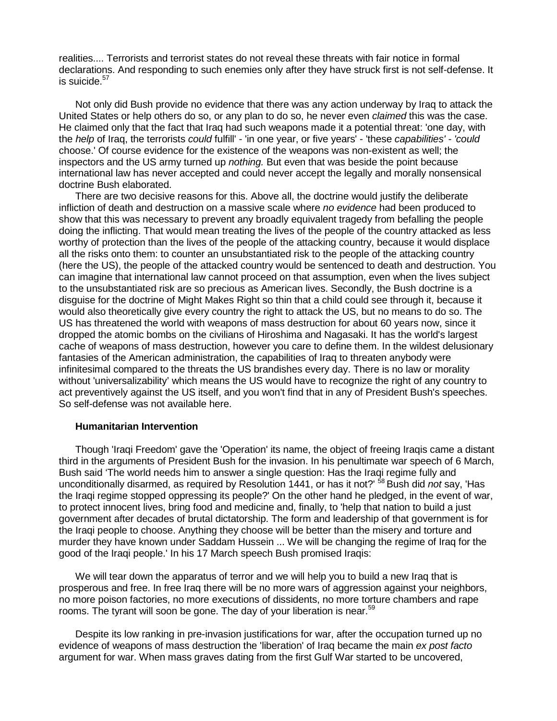realities.... Terrorists and terrorist states do not reveal these threats with fair notice in formal declarations. And responding to such enemies only after they have struck first is not self-defense. It is suicide.<sup>57</sup>

Not only did Bush provide no evidence that there was any action underway by Iraq to attack the United States or help others do so, or any plan to do so, he never even *claimed* this was the case. He claimed only that the fact that Iraq had such weapons made it a potential threat: 'one day, with the *help* of Iraq, the terrorists *could* fulfill' - 'in one year, or five years' - 'these *capabilities' - 'could*  choose.' Of course evidence for the existence of the weapons was non-existent as well; the inspectors and the US army turned up *nothing.* But even that was beside the point because international law has never accepted and could never accept the legally and morally nonsensical doctrine Bush elaborated.

There are two decisive reasons for this. Above all, the doctrine would justify the deliberate infliction of death and destruction on a massive scale where *no evidence* had been produced to show that this was necessary to prevent any broadly equivalent tragedy from befalling the people doing the inflicting. That would mean treating the lives of the people of the country attacked as less worthy of protection than the lives of the people of the attacking country, because it would displace all the risks onto them: to counter an unsubstantiated risk to the people of the attacking country (here the US), the people of the attacked country would be sentenced to death and destruction. You can imagine that international law cannot proceed on that assumption, even when the lives subject to the unsubstantiated risk are so precious as American lives. Secondly, the Bush doctrine is a disguise for the doctrine of Might Makes Right so thin that a child could see through it, because it would also theoretically give every country the right to attack the US, but no means to do so. The US has threatened the world with weapons of mass destruction for about 60 years now, since it dropped the atomic bombs on the civilians of Hiroshima and Nagasaki. It has the world's largest cache of weapons of mass destruction, however you care to define them. In the wildest delusionary fantasies of the American administration, the capabilities of Iraq to threaten anybody were infinitesimal compared to the threats the US brandishes every day. There is no law or morality without 'universalizability' which means the US would have to recognize the right of any country to act preventively against the US itself, and you won't find that in any of President Bush's speeches. So self-defense was not available here.

## **Humanitarian Intervention**

Though 'Iraqi Freedom' gave the 'Operation' its name, the object of freeing Iraqis came a distant third in the arguments of President Bush for the invasion. In his penultimate war speech of 6 March, Bush said 'The world needs him to answer a single question: Has the Iraqi regime fully and unconditionally disarmed, as required by Resolution 1441, or has it not?' 58 Bush did *not* say, 'Has the Iraqi regime stopped oppressing its people?' On the other hand he pledged, in the event of war, to protect innocent lives, bring food and medicine and, finally, to 'help that nation to build a just government after decades of brutal dictatorship. The form and leadership of that government is for the Iraqi people to choose. Anything they choose will be better than the misery and torture and murder they have known under Saddam Hussein ... We will be changing the regime of Iraq for the good of the Iraqi people.' In his 17 March speech Bush promised Iraqis:

We will tear down the apparatus of terror and we will help you to build a new Iraq that is prosperous and free. In free Iraq there will be no more wars of aggression against your neighbors, no more poison factories, no more executions of dissidents, no more torture chambers and rape rooms. The tyrant will soon be gone. The day of your liberation is near.<sup>59</sup>

Despite its low ranking in pre-invasion justifications for war, after the occupation turned up no evidence of weapons of mass destruction the 'liberation' of Iraq became the main *ex post facto*  argument for war. When mass graves dating from the first Gulf War started to be uncovered,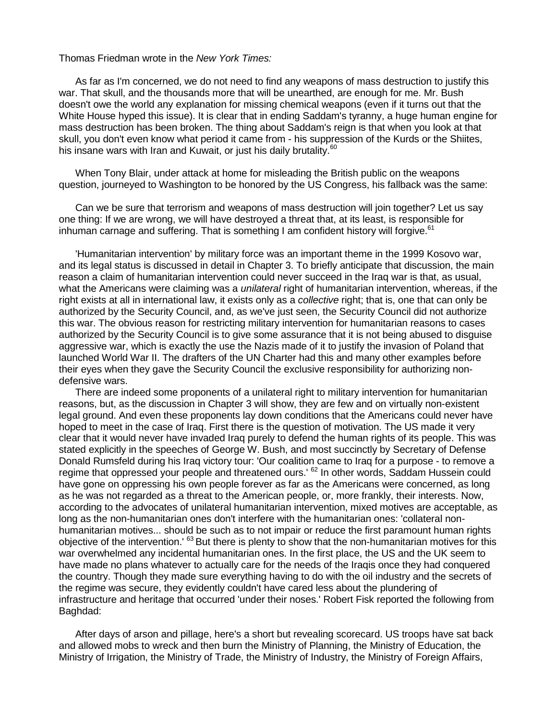Thomas Friedman wrote in the *New York Times:*

As far as I'm concerned, we do not need to find any weapons of mass destruction to justify this war. That skull, and the thousands more that will be unearthed, are enough for me. Mr. Bush doesn't owe the world any explanation for missing chemical weapons (even if it turns out that the White House hyped this issue). It is clear that in ending Saddam's tyranny, a huge human engine for mass destruction has been broken. The thing about Saddam's reign is that when you look at that skull, you don't even know what period it came from - his suppression of the Kurds or the Shiites, his insane wars with Iran and Kuwait, or just his daily brutality.<sup>60</sup>

When Tony Blair, under attack at home for misleading the British public on the weapons question, journeyed to Washington to be honored by the US Congress, his fallback was the same:

Can we be sure that terrorism and weapons of mass destruction will join together? Let us say one thing: If we are wrong, we will have destroyed a threat that, at its least, is responsible for inhuman carnage and suffering. That is something I am confident history will forgive.  $61$ 

'Humanitarian intervention' by military force was an important theme in the 1999 Kosovo war, and its legal status is discussed in detail in Chapter 3. To briefly anticipate that discussion, the main reason a claim of humanitarian intervention could never succeed in the Iraq war is that, as usual, what the Americans were claiming was a *unilateral* right of humanitarian intervention, whereas, if the right exists at all in international law, it exists only as a *collective* right; that is, one that can only be authorized by the Security Council, and, as we've just seen, the Security Council did not authorize this war. The obvious reason for restricting military intervention for humanitarian reasons to cases authorized by the Security Council is to give some assurance that it is not being abused to disguise aggressive war, which is exactly the use the Nazis made of it to justify the invasion of Poland that launched World War II. The drafters of the UN Charter had this and many other examples before their eyes when they gave the Security Council the exclusive responsibility for authorizing nondefensive wars.

There are indeed some proponents of a unilateral right to military intervention for humanitarian reasons, but, as the discussion in Chapter 3 will show, they are few and on virtually non-existent legal ground. And even these proponents lay down conditions that the Americans could never have hoped to meet in the case of Iraq. First there is the question of motivation. The US made it very clear that it would never have invaded Iraq purely to defend the human rights of its people. This was stated explicitly in the speeches of George W. Bush, and most succinctly by Secretary of Defense Donald Rumsfeld during his Iraq victory tour: 'Our coalition came to Iraq for a purpose - to remove a regime that oppressed your people and threatened ours.' <sup>62</sup> In other words, Saddam Hussein could have gone on oppressing his own people forever as far as the Americans were concerned, as long as he was not regarded as a threat to the American people, or, more frankly, their interests. Now, according to the advocates of unilateral humanitarian intervention, mixed motives are acceptable, as long as the non-humanitarian ones don't interfere with the humanitarian ones: 'collateral nonhumanitarian motives... should be such as to not impair or reduce the first paramount human rights objective of the intervention.<sup>' 63</sup> But there is plenty to show that the non-humanitarian motives for this war overwhelmed any incidental humanitarian ones. In the first place, the US and the UK seem to have made no plans whatever to actually care for the needs of the Iraqis once they had conquered the country. Though they made sure everything having to do with the oil industry and the secrets of the regime was secure, they evidently couldn't have cared less about the plundering of infrastructure and heritage that occurred 'under their noses.' Robert Fisk reported the following from Baghdad:

After days of arson and pillage, here's a short but revealing scorecard. US troops have sat back and allowed mobs to wreck and then burn the Ministry of Planning, the Ministry of Education, the Ministry of Irrigation, the Ministry of Trade, the Ministry of Industry, the Ministry of Foreign Affairs,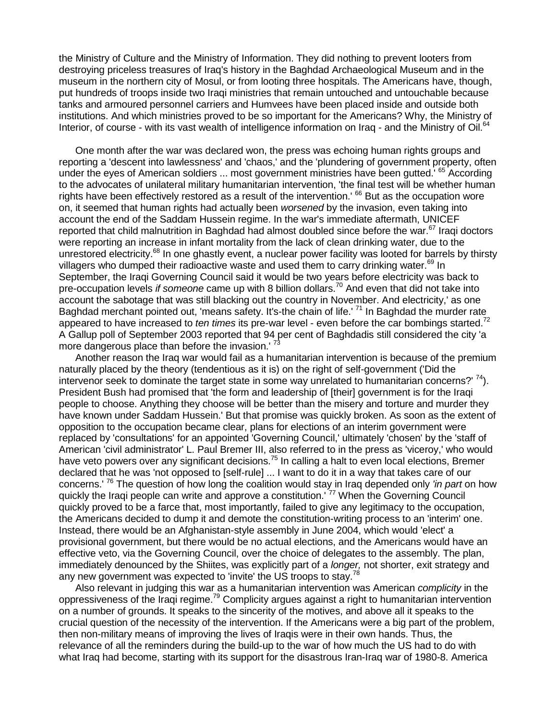the Ministry of Culture and the Ministry of Information. They did nothing to prevent looters from destroying priceless treasures of Iraq's history in the Baghdad Archaeological Museum and in the museum in the northern city of Mosul, or from looting three hospitals. The Americans have, though, put hundreds of troops inside two Iraqi ministries that remain untouched and untouchable because tanks and armoured personnel carriers and Humvees have been placed inside and outside both institutions. And which ministries proved to be so important for the Americans? Why, the Ministry of Interior, of course - with its vast wealth of intelligence information on Iraq - and the Ministry of Oil.<sup>64</sup>

One month after the war was declared won, the press was echoing human rights groups and reporting a 'descent into lawlessness' and 'chaos,' and the 'plundering of government property, often under the eyes of American soldiers ... most government ministries have been gutted.<sup>' 65</sup> According to the advocates of unilateral military humanitarian intervention, 'the final test will be whether human rights have been effectively restored as a result of the intervention.<sup>' 66</sup> But as the occupation wore on, it seemed that human rights had actually been *worsened* by the invasion, even taking into account the end of the Saddam Hussein regime. In the war's immediate aftermath, UNICEF reported that child malnutrition in Baghdad had almost doubled since before the war.<sup>67</sup> Iragi doctors were reporting an increase in infant mortality from the lack of clean drinking water, due to the unrestored electricity.<sup>68</sup> In one ghastly event, a nuclear power facility was looted for barrels by thirsty villagers who dumped their radioactive waste and used them to carry drinking water.<sup>69</sup> In September, the Iraqi Governing Council said it would be two years before electricity was back to pre-occupation levels *if someone* came up with 8 billion dollars.<sup>70</sup> And even that did not take into account the sabotage that was still blacking out the country in November. And electricity,' as one Baghdad merchant pointed out, 'means safety. It's-the chain of life.'  $^{71}$  In Baghdad the murder rate appeared to have increased to *ten times* its pre-war level - even before the car bombings started.<sup>72</sup> A Gallup poll of September 2003 reported that 94 per cent of Baghdadis still considered the city 'a more dangerous place than before the invasion.<sup> $73$ </sup>

Another reason the Iraq war would fail as a humanitarian intervention is because of the premium naturally placed by the theory (tendentious as it is) on the right of self-government ('Did the intervenor seek to dominate the target state in some way unrelated to humanitarian concerns?' <sup>74</sup>). President Bush had promised that 'the form and leadership of [their] government is for the Iraqi people to choose. Anything they choose will be better than the misery and torture and murder they have known under Saddam Hussein.' But that promise was quickly broken. As soon as the extent of opposition to the occupation became clear, plans for elections of an interim government were replaced by 'consultations' for an appointed 'Governing Council,' ultimately 'chosen' by the 'staff of American 'civil administrator' L. Paul Bremer III, also referred to in the press as 'viceroy,' who would have veto powers over any significant decisions.<sup>75</sup> In calling a halt to even local elections, Bremer declared that he was 'not opposed to [self-rule] ... I want to do it in a way that takes care of our concerns.' <sup>76</sup> The question of how long the coalition would stay in Iraq depended only *'in part* on how quickly the Iraqi people can write and approve a constitution.' <sup>77</sup> When the Governing Council quickly proved to be a farce that, most importantly, failed to give any legitimacy to the occupation, the Americans decided to dump it and demote the constitution-writing process to an 'interim' one. Instead, there would be an Afghanistan-style assembly in June 2004, which would 'elect' a provisional government, but there would be no actual elections, and the Americans would have an effective veto, via the Governing Council, over the choice of delegates to the assembly. The plan, immediately denounced by the Shiites, was explicitly part of a *longer,* not shorter, exit strategy and any new government was expected to 'invite' the US troops to stay.<sup>78</sup>

Also relevant in judging this war as a humanitarian intervention was American *complicity* in the oppressiveness of the Iraqi regime.79 Complicity argues against a right to humanitarian intervention on a number of grounds. It speaks to the sincerity of the motives, and above all it speaks to the crucial question of the necessity of the intervention. If the Americans were a big part of the problem, then non-military means of improving the lives of Iraqis were in their own hands. Thus, the relevance of all the reminders during the build-up to the war of how much the US had to do with what Iraq had become, starting with its support for the disastrous Iran-Iraq war of 1980-8. America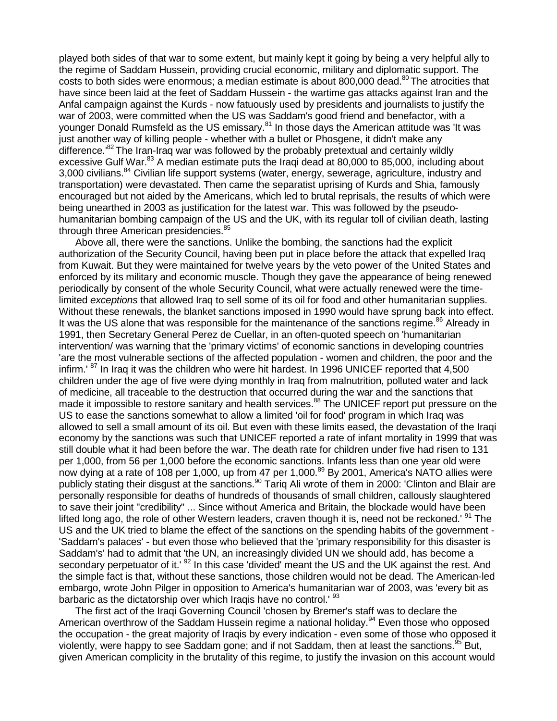played both sides of that war to some extent, but mainly kept it going by being a very helpful ally to the regime of Saddam Hussein, providing crucial economic, military and diplomatic support. The costs to both sides were enormous; a median estimate is about 800,000 dead.<sup>80</sup> The atrocities that have since been laid at the feet of Saddam Hussein - the wartime gas attacks against Iran and the Anfal campaign against the Kurds - now fatuously used by presidents and journalists to justify the war of 2003, were committed when the US was Saddam's good friend and benefactor, with a younger Donald Rumsfeld as the US emissary.<sup>81</sup> In those days the American attitude was 'It was just another way of killing people - whether with a bullet or Phosgene, it didn't make any difference.<sup>82</sup> The Iran-Iraq war was followed by the probably pretextual and certainly wildly excessive Gulf War.<sup>83</sup> A median estimate puts the Iraqi dead at 80,000 to 85,000, including about 3,000 civilians.<sup>84</sup> Civilian life support systems (water, energy, sewerage, agriculture, industry and transportation) were devastated. Then came the separatist uprising of Kurds and Shia, famously encouraged but not aided by the Americans, which led to brutal reprisals, the results of which were being unearthed in 2003 as justification for the latest war. This was followed by the pseudohumanitarian bombing campaign of the US and the UK, with its regular toll of civilian death, lasting through three American presidencies.<sup>85</sup>

Above all, there were the sanctions. Unlike the bombing, the sanctions had the explicit authorization of the Security Council, having been put in place before the attack that expelled Iraq from Kuwait. But they were maintained for twelve years by the veto power of the United States and enforced by its military and economic muscle. Though they gave the appearance of being renewed periodically by consent of the whole Security Council, what were actually renewed were the timelimited *exceptions* that allowed Iraq to sell some of its oil for food and other humanitarian supplies. Without these renewals, the blanket sanctions imposed in 1990 would have sprung back into effect. It was the US alone that was responsible for the maintenance of the sanctions regime.<sup>86</sup> Already in 1991, then Secretary General Perez de Cuellar, in an often-quoted speech on 'humanitarian intervention/ was warning that the 'primary victims' of economic sanctions in developing countries 'are the most vulnerable sections of the affected population - women and children, the poor and the infirm.' <sup>87</sup> In Iraq it was the children who were hit hardest. In 1996 UNICEF reported that 4,500 children under the age of five were dying monthly in Iraq from malnutrition, polluted water and lack of medicine, all traceable to the destruction that occurred during the war and the sanctions that made it impossible to restore sanitary and health services.<sup>88</sup> The UNICEF report put pressure on the US to ease the sanctions somewhat to allow a limited 'oil for food' program in which Iraq was allowed to sell a small amount of its oil. But even with these limits eased, the devastation of the Iraqi economy by the sanctions was such that UNICEF reported a rate of infant mortality in 1999 that was still double what it had been before the war. The death rate for children under five had risen to 131 per 1,000, from 56 per 1,000 before the economic sanctions. Infants less than one year old were now dying at a rate of 108 per 1,000, up from 47 per 1,000.<sup>89</sup> By 2001, America's NATO allies were publicly stating their disgust at the sanctions.<sup>90</sup> Tariq Ali wrote of them in 2000: 'Clinton and Blair are personally responsible for deaths of hundreds of thousands of small children, callously slaughtered to save their joint "credibility" ... Since without America and Britain, the blockade would have been lifted long ago, the role of other Western leaders, craven though it is, need not be reckoned.'  $91$  The US and the UK tried to blame the effect of the sanctions on the spending habits of the government - 'Saddam's palaces' - but even those who believed that the 'primary responsibility for this disaster is Saddam's' had to admit that 'the UN, an increasingly divided UN we should add, has become a secondary perpetuator of it.' <sup>92</sup> In this case 'divided' meant the US and the UK against the rest. And the simple fact is that, without these sanctions, those children would not be dead. The American-led embargo, wrote John Pilger in opposition to America's humanitarian war of 2003, was 'every bit as barbaric as the dictatorship over which Iraqis have no control.' <sup>93</sup>

The first act of the Iraqi Governing Council 'chosen by Bremer's staff was to declare the American overthrow of the Saddam Hussein regime a national holiday.<sup>94</sup> Even those who opposed the occupation - the great majority of Iraqis by every indication - even some of those who opposed it violently, were happy to see Saddam gone; and if not Saddam, then at least the sanctions.  $95$  But, given American complicity in the brutality of this regime, to justify the invasion on this account would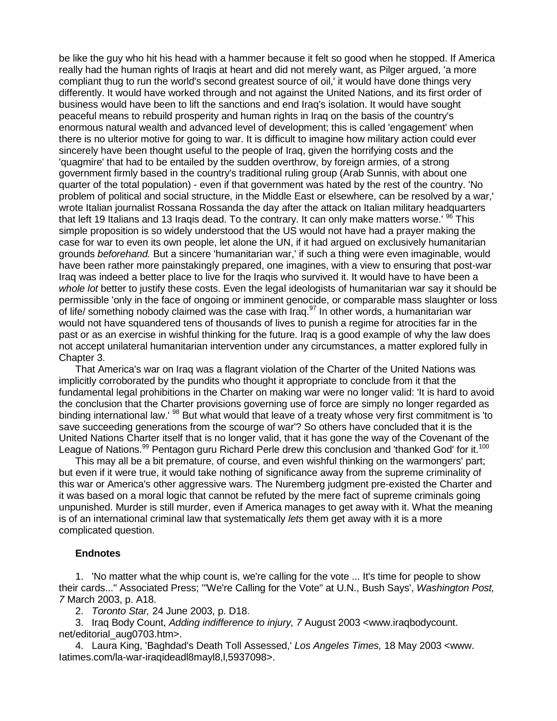be like the guy who hit his head with a hammer because it felt so good when he stopped. If America really had the human rights of Iraqis at heart and did not merely want, as Pilger argued, 'a more compliant thug to run the world's second greatest source of oil,' it would have done things very differently. It would have worked through and not against the United Nations, and its first order of business would have been to lift the sanctions and end Iraq's isolation. It would have sought peaceful means to rebuild prosperity and human rights in Iraq on the basis of the country's enormous natural wealth and advanced level of development; this is called 'engagement' when there is no ulterior motive for going to war. It is difficult to imagine how military action could ever sincerely have been thought useful to the people of Iraq, given the horrifying costs and the 'quagmire' that had to be entailed by the sudden overthrow, by foreign armies, of a strong government firmly based in the country's traditional ruling group (Arab Sunnis, with about one quarter of the total population) - even if that government was hated by the rest of the country. 'No problem of political and social structure, in the Middle East or elsewhere, can be resolved by a war,' wrote Italian journalist Rossana Rossanda the day after the attack on Italian military headquarters that left 19 Italians and 13 Iraqis dead. To the contrary. It can only make matters worse.' <sup>96</sup> This simple proposition is so widely understood that the US would not have had a prayer making the case for war to even its own people, let alone the UN, if it had argued on exclusively humanitarian grounds *beforehand.* But a sincere 'humanitarian war,' if such a thing were even imaginable, would have been rather more painstakingly prepared, one imagines, with a view to ensuring that post-war Iraq was indeed a better place to live for the Iraqis who survived it. It would have to have been a *whole lot* better to justify these costs. Even the legal ideologists of humanitarian war say it should be permissible 'only in the face of ongoing or imminent genocide, or comparable mass slaughter or loss of life/ something nobody claimed was the case with  $Iraq<sup>97</sup>$  In other words, a humanitarian war would not have squandered tens of thousands of lives to punish a regime for atrocities far in the past or as an exercise in wishful thinking for the future. Iraq is a good example of why the law does not accept unilateral humanitarian intervention under any circumstances, a matter explored fully in Chapter 3.

That America's war on Iraq was a flagrant violation of the Charter of the United Nations was implicitly corroborated by the pundits who thought it appropriate to conclude from it that the fundamental legal prohibitions in the Charter on making war were no longer valid: 'It is hard to avoid the conclusion that the Charter provisions governing use of force are simply no longer regarded as binding international law.' <sup>98</sup> But what would that leave of a treaty whose very first commitment is 'to save succeeding generations from the scourge of war'? So others have concluded that it is the United Nations Charter itself that is no longer valid, that it has gone the way of the Covenant of the League of Nations.<sup>99</sup> Pentagon guru Richard Perle drew this conclusion and 'thanked God' for it.<sup>100</sup>

This may all be a bit premature, of course, and even wishful thinking on the warmongers' part; but even if it were true, it would take nothing of significance away from the supreme criminality of this war or America's other aggressive wars. The Nuremberg judgment pre-existed the Charter and it was based on a moral logic that cannot be refuted by the mere fact of supreme criminals going unpunished. Murder is still murder, even if America manages to get away with it. What the meaning is of an international criminal law that systematically *lets* them get away with it is a more complicated question.

# **Endnotes**

1. 'No matter what the whip count is, we're calling for the vote ... It's time for people to show their cards..." Associated Press; '"We're Calling for the Vote" at U.N., Bush Says', *Washington Post, 7* March 2003, p. A18.

2. *Toronto Star,* 24 June 2003, p. D18.

3. Iraq Body Count, *Adding indifference to injury, 7* August 2003 <www.iraqbodycount. net/editorial\_aug0703.htm>.

4. Laura King, 'Baghdad's Death Toll Assessed,' *Los Angeles Times,* 18 May 2003 <www. Iatimes.com/la-war-iraqideadl8mayl8,l,5937098>.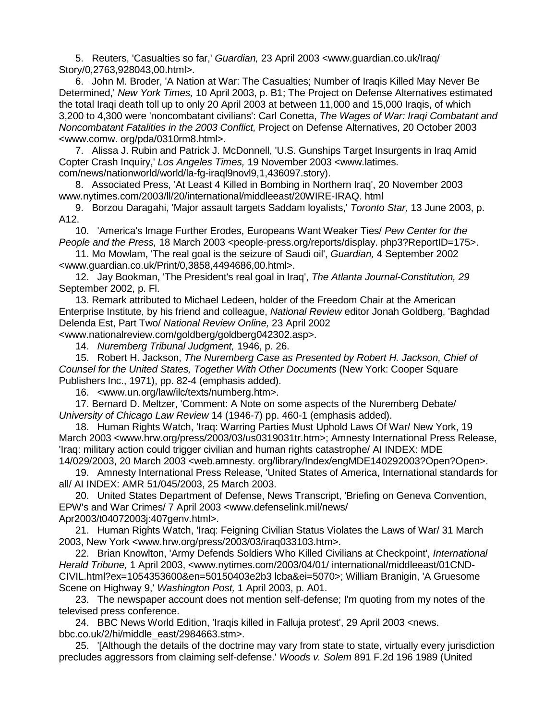5. Reuters, 'Casualties so far,' *Guardian,* 23 April 2003 <www.guardian.co.uk/Iraq/ Story/0,2763,928043,00.html>.

6. John M. Broder, 'A Nation at War: The Casualties; Number of Iraqis Killed May Never Be Determined,' *New York Times,* 10 April 2003, p. B1; The Project on Defense Alternatives estimated the total Iraqi death toll up to only 20 April 2003 at between 11,000 and 15,000 Iraqis, of which 3,200 to 4,300 were 'noncombatant civilians': Carl Conetta, *The Wages of War: Iraqi Combatant and Noncombatant Fatalities in the 2003 Conflict,* Project on Defense Alternatives, 20 October 2003 <www.comw. org/pda/0310rm8.html>.

7. Alissa J. Rubin and Patrick J. McDonnell, 'U.S. Gunships Target Insurgents in Iraq Amid Copter Crash Inquiry,' *Los Angeles Times,* 19 November 2003 <www.latimes. com/news/nationworld/world/la-fg-iraql9novl9,1,436097.story).

8. Associated Press, 'At Least 4 Killed in Bombing in Northern Iraq', 20 November 2003 www.nytimes.com/2003/ll/20/international/middleeast/20WIRE-IRAQ. html

9. Borzou Daragahi, 'Major assault targets Saddam loyalists,' *Toronto Star,* 13 June 2003, p. A12.

10. 'America's Image Further Erodes, Europeans Want Weaker Ties/ *Pew Center for the People and the Press,* 18 March 2003 <people-press.org/reports/display. php3?ReportID=175>.

11. Mo Mowlam, 'The real goal is the seizure of Saudi oil', *Guardian,* 4 September 2002 <www.guardian.co.uk/Print/0,3858,4494686,00.html>.

12. Jay Bookman, 'The President's real goal in Iraq', *The Atlanta Journal-Constitution, 29*  September 2002, p. Fl.

13. Remark attributed to Michael Ledeen, holder of the Freedom Chair at the American Enterprise Institute, by his friend and colleague, *National Review* editor Jonah Goldberg, 'Baghdad Delenda Est, Part Two/ *National Review Online,* 23 April 2002

<www.nationalreview.com/goldberg/goldberg042302.asp>.

14. *Nuremberg Tribunal Judgment,* 1946, p. 26.

15. Robert H. Jackson, *The Nuremberg Case as Presented by Robert H. Jackson, Chief of Counsel for the United States, Together With Other Documents* (New York: Cooper Square Publishers Inc., 1971), pp. 82-4 (emphasis added).

16. <www.un.org/law/ilc/texts/nurnberg.htm>.

17. Bernard D. Meltzer, 'Comment: A Note on some aspects of the Nuremberg Debate/ *University of Chicago Law Review* 14 (1946-7) pp. 460-1 (emphasis added).

18. Human Rights Watch, 'Iraq: Warring Parties Must Uphold Laws Of War/ New York, 19 March 2003 <www.hrw.org/press/2003/03/us0319031tr.htm>; Amnesty International Press Release, 'Iraq: military action could trigger civilian and human rights catastrophe/ AI INDEX: MDE

14/029/2003, 20 March 2003 <web.amnesty. org/library/Index/engMDE140292003?Open?Open>. 19. Amnesty International Press Release, 'United States of America, International standards for all/ AI INDEX: AMR 51/045/2003, 25 March 2003.

20. United States Department of Defense, News Transcript, 'Briefing on Geneva Convention, EPW's and War Crimes/ 7 April 2003 <www.defenselink.mil/news/ Apr2003/t04072003j:407genv.html>.

21. Human Rights Watch, 'Iraq: Feigning Civilian Status Violates the Laws of War/ 31 March 2003, New York <www.hrw.org/press/2003/03/iraq033103.htm>.

22. Brian Knowlton, 'Army Defends Soldiers Who Killed Civilians at Checkpoint', *International Herald Tribune,* 1 April 2003, <www.nytimes.com/2003/04/01/ international/middleeast/01CND-CIVIL.html?ex=1054353600&en=50150403e2b3 lcba&ei=5070>; William Branigin, 'A Gruesome Scene on Highway 9,' *Washington Post,* 1 April 2003, p. A01.

23. The newspaper account does not mention self-defense; I'm quoting from my notes of the televised press conference.

24. BBC News World Edition, 'Iraqis killed in Falluja protest', 29 April 2003 <news. bbc.co.uk/2/hi/middle\_east/2984663.stm>.

25. '[Although the details of the doctrine may vary from state to state, virtually every jurisdiction precludes aggressors from claiming self-defense.' *Woods v. Solem* 891 F.2d 196 1989 (United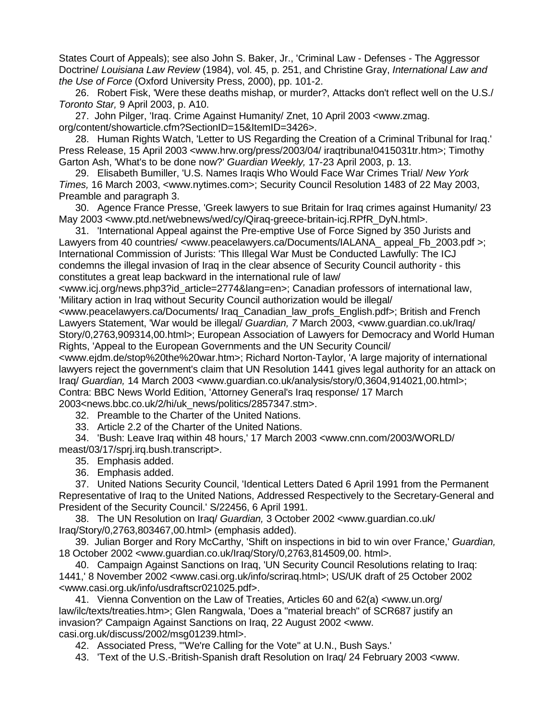States Court of Appeals); see also John S. Baker, Jr., 'Criminal Law - Defenses - The Aggressor Doctrine/ *Louisiana Law Review* (1984), vol. 45, p. 251, and Christine Gray, *International Law and the Use of Force* (Oxford University Press, 2000), pp. 101-2.

26. Robert Fisk, 'Were these deaths mishap, or murder?, Attacks don't reflect well on the U.S./ *Toronto Star,* 9 April 2003, p. A10.

27. John Pilger, 'Iraq. Crime Against Humanity/ Znet, 10 April 2003 <www.zmag. org/content/showarticle.cfm?SectionID=15&ItemID=3426>.

28. Human Rights Watch, 'Letter to US Regarding the Creation of a Criminal Tribunal for Iraq.' Press Release, 15 April 2003 <www.hrw.org/press/2003/04/ iraqtribuna!0415031tr.htm>; Timothy Garton Ash, 'What's to be done now?' *Guardian Weekly,* 17-23 April 2003, p. 13.

29. Elisabeth Bumiller, 'U.S. Names Iraqis Who Would Face War Crimes Trial/ *New York Times,* 16 March 2003, <www.nytimes.com>; Security Council Resolution 1483 of 22 May 2003, Preamble and paragraph 3.

30. Agence France Presse, 'Greek lawyers to sue Britain for Iraq crimes against Humanity/ 23 May 2003 <www.ptd.net/webnews/wed/cy/Qiraq-greece-britain-icj.RPfR\_DyN.html>.

31. 'International Appeal against the Pre-emptive Use of Force Signed by 350 Jurists and Lawyers from 40 countries/ <www.peacelawyers.ca/Documents/IALANA \_appeal\_Fb\_2003.pdf >; International Commission of Jurists: 'This Illegal War Must be Conducted Lawfully: The ICJ condemns the illegal invasion of Iraq in the clear absence of Security Council authority - this constitutes a great leap backward in the international rule of law/

<www.icj.org/news.php3?id\_article=2774&lang=en>; Canadian professors of international law, 'Military action in Iraq without Security Council authorization would be illegal/

<www.peacelawyers.ca/Documents/ Iraq\_Canadian\_law\_profs\_English.pdf>; British and French Lawyers Statement, 'War would be illegal/ *Guardian, 7* March 2003, <www.guardian.co.uk/Iraq/ Story/0,2763,909314,00.html>; European Association of Lawyers for Democracy and World Human Rights, 'Appeal to the European Governments and the UN Security Council/

<www.ejdm.de/stop%20the%20war.htm>; Richard Norton-Taylor, 'A large majority of international lawyers reject the government's claim that UN Resolution 1441 gives legal authority for an attack on Iraq/ *Guardian,* 14 March 2003 <www.guardian.co.uk/analysis/story/0,3604,914021,00.html>; Contra: BBC News World Edition, 'Attorney General's Iraq response/ 17 March

2003<news.bbc.co.uk/2/hi/uk\_news/politics/2857347.stm>. 32. Preamble to the Charter of the United Nations.

33. Article 2.2 of the Charter of the United Nations.

34. 'Bush: Leave Iraq within 48 hours,' 17 March 2003 <www.cnn.com/2003/WORLD/ meast/03/17/sprj.irq.bush.transcript>.

35. Emphasis added.

36. Emphasis added.

37. United Nations Security Council, 'Identical Letters Dated 6 April 1991 from the Permanent Representative of Iraq to the United Nations, Addressed Respectively to the Secretary-General and President of the Security Council.' S/22456, 6 April 1991.

38. The UN Resolution on Iraq/ *Guardian,* 3 October 2002 <www.guardian.co.uk/ Iraq/Story/0,2763,803467,00.html> (emphasis added).

39. Julian Borger and Rory McCarthy, 'Shift on inspections in bid to win over France,' *Guardian,*  18 October 2002 <www.guardian.co.uk/Iraq/Story/0,2763,814509,00. html>.

40. Campaign Against Sanctions on Iraq, 'UN Security Council Resolutions relating to Iraq: 1441,' 8 November 2002 <www.casi.org.uk/info/scriraq.html>; US/UK draft of 25 October 2002 <www.casi.org.uk/info/usdraftscr021025.pdf>.

41. Vienna Convention on the Law of Treaties, Articles 60 and 62(a) <www.un.org/ law/ilc/texts/treaties.htm>; Glen Rangwala, 'Does a "material breach" of SCR687 justify an invasion?' Campaign Against Sanctions on Iraq, 22 August 2002 <www. casi.org.uk/discuss/2002/msg01239.html>.

42. Associated Press, '"We're Calling for the Vote" at U.N., Bush Says.'

43. 'Text of the U.S.-British-Spanish draft Resolution on Iraq/ 24 February 2003 <www.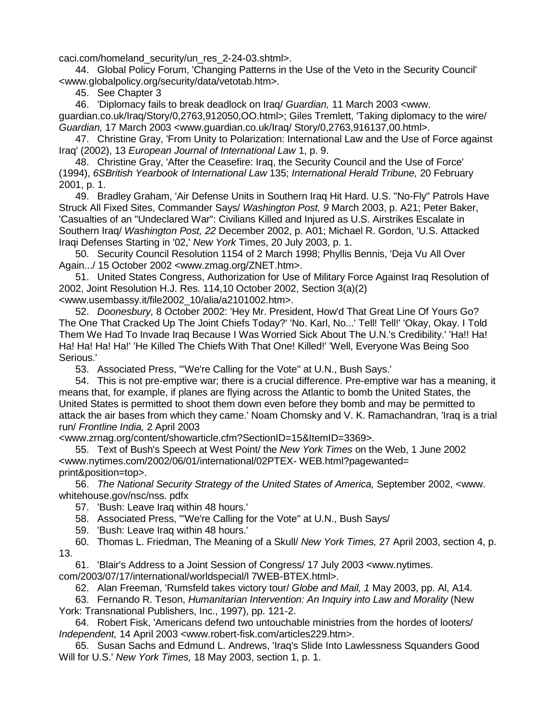caci.com/homeland\_security/un\_res\_2-24-03.shtml>.

44. Global Policy Forum, 'Changing Patterns in the Use of the Veto in the Security Council' <www.globalpolicy.org/security/data/vetotab.htm>.

45. See Chapter 3

46. 'Diplomacy fails to break deadlock on Iraq/ *Guardian,* 11 March 2003 <www. guardian.co.uk/Iraq/Story/0,2763,912050,OO.html>; Giles Tremlett, 'Taking diplomacy to the wire/ *Guardian,* 17 March 2003 <www.guardian.co.uk/Iraq/ Story/0,2763,916137,00.html>.

47. Christine Gray, 'From Unity to Polarization: International Law and the Use of Force against Iraq' (2002), 13 *European Journal of International Law* 1, p. 9.

48. Christine Gray, 'After the Ceasefire: Iraq, the Security Council and the Use of Force' (1994), *6SBritish Yearbook of International Law* 135; *International Herald Tribune,* 20 February 2001, p. 1.

49. Bradley Graham, 'Air Defense Units in Southern Iraq Hit Hard. U.S. "No-Fly" Patrols Have Struck All Fixed Sites, Commander Says/ *Washington Post, 9* March 2003, p. A21; Peter Baker, 'Casualties of an "Undeclared War": Civilians Killed and Injured as U.S. Airstrikes Escalate in Southern Iraq/ *Washington Post, 22* December 2002, p. A01; Michael R. Gordon, 'U.S. Attacked Iraqi Defenses Starting in '02,' *New York* Times, 20 July 2003, p. 1.

50. Security Council Resolution 1154 of 2 March 1998; Phyllis Bennis, 'Deja Vu All Over Again.../ 15 October 2002 <www.zmag.org/ZNET.htm>.

51. United States Congress, Authorization for Use of Military Force Against Iraq Resolution of 2002, Joint Resolution H.J. Res. 114,10 October 2002, Section 3(a)(2)

<www.usembassy.it/file2002\_10/alia/a2101002.htm>.

52. *Doonesbury,* 8 October 2002: 'Hey Mr. President, How'd That Great Line Of Yours Go? The One That Cracked Up The Joint Chiefs Today?' 'No. Karl, No...' Tell! Tell!' 'Okay, Okay. I Told Them We Had To Invade Iraq Because I Was Worried Sick About The U.N.'s Credibility.' 'Ha!! Ha! Ha! Ha! Ha! Ha!' 'He Killed The Chiefs With That One! Killed!' 'Well, Everyone Was Being Soo Serious.'

53. Associated Press, '"We're Calling for the Vote" at U.N., Bush Says.'

54. This is not pre-emptive war; there is a crucial difference. Pre-emptive war has a meaning, it means that, for example, if planes are flying across the Atlantic to bomb the United States, the United States is permitted to shoot them down even before they bomb and may be permitted to attack the air bases from which they came.' Noam Chomsky and V. K. Ramachandran, 'Iraq is a trial run/ *Frontline India,* 2 April 2003

<www.zrnag.org/content/showarticle.cfm?SectionID=15&ItemID=3369>.

55. Text of Bush's Speech at West Point/ the *New York Times* on the Web, 1 June 2002 <www.nytimes.com/2002/06/01/international/02PTEX- WEB.html?pagewanted= print&position=top>.

56. *The National Security Strategy of the United States of America,* September 2002, <www. whitehouse.gov/nsc/nss. pdfx

57. 'Bush: Leave Iraq within 48 hours.'

58. Associated Press, '"We're Calling for the Vote" at U.N., Bush Says/

59. 'Bush: Leave Iraq within 48 hours.'

60. Thomas L. Friedman, The Meaning of a Skull/ *New York Times,* 27 April 2003, section 4, p. 13.

61. 'Blair's Address to a Joint Session of Congress/ 17 July 2003 <www.nytimes.

com/2003/07/17/international/worldspecial/l 7WEB-BTEX.html>.

62. Alan Freeman, 'Rumsfeld takes victory tour/ *Globe and Mail, 1* May 2003, pp. Al, A14.

63. Fernando R. Teson, *Humanitarian Intervention: An Inquiry into Law and Morality* (New York: Transnational Publishers, Inc., 1997), pp. 121-2.

64. Robert Fisk, 'Americans defend two untouchable ministries from the hordes of looters/ *Independent,* 14 April 2003 <www.robert-fisk.com/articles229.htm>.

65. Susan Sachs and Edmund L. Andrews, 'Iraq's Slide Into Lawlessness Squanders Good Will for U.S.' *New York Times,* 18 May 2003, section 1, p. 1.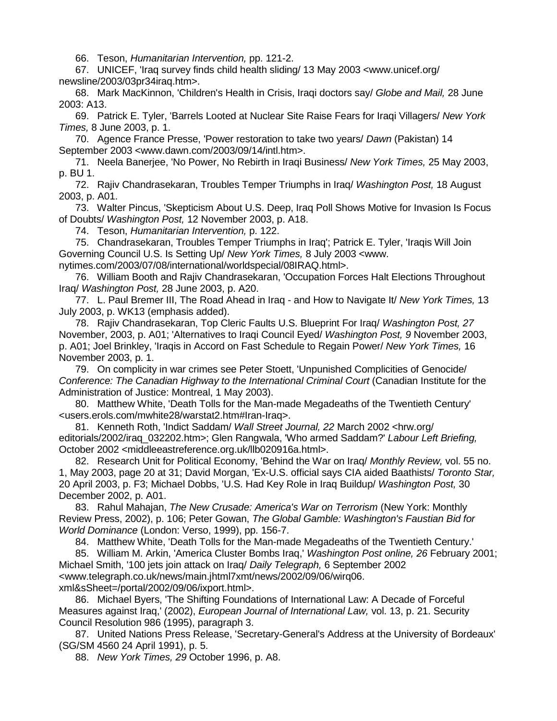66. Teson, *Humanitarian Intervention,* pp. 121-2.

67. UNICEF, 'Iraq survey finds child health sliding/ 13 May 2003 <www.unicef.org/ newsline/2003/03pr34iraq.htm>.

68. Mark MacKinnon, 'Children's Health in Crisis, Iraqi doctors say/ *Globe and Mail,* 28 June 2003: A13.

69. Patrick E. Tyler, 'Barrels Looted at Nuclear Site Raise Fears for Iraqi Villagers/ *New York Times,* 8 June 2003, p. 1.

70. Agence France Presse, 'Power restoration to take two years/ *Dawn* (Pakistan) 14 September 2003 <www.dawn.com/2003/09/14/intl.htm>.

71. Neela Banerjee, 'No Power, No Rebirth in Iraqi Business/ *New York Times,* 25 May 2003, p. BU 1.

72. Rajiv Chandrasekaran, Troubles Temper Triumphs in Iraq/ *Washington Post,* 18 August 2003, p. A01.

73. Walter Pincus, 'Skepticism About U.S. Deep, Iraq Poll Shows Motive for Invasion Is Focus of Doubts/ *Washington Post,* 12 November 2003, p. A18.

74. Teson, *Humanitarian Intervention,* p. 122.

75. Chandrasekaran, Troubles Temper Triumphs in Iraq'; Patrick E. Tyler, 'Iraqis Will Join Governing Council U.S. Is Setting Up/ *New York Times,* 8 July 2003 <www. nytimes.com/2003/07/08/international/worldspecial/08IRAQ.html>.

76. William Booth and Rajiv Chandrasekaran, 'Occupation Forces Halt Elections Throughout Iraq/ *Washington Post,* 28 June 2003, p. A20.

77. L. Paul Bremer III, The Road Ahead in Iraq - and How to Navigate It/ *New York Times,* 13 July 2003, p. WK13 (emphasis added).

78. Rajiv Chandrasekaran, Top Cleric Faults U.S. Blueprint For Iraq/ *Washington Post, 27*  November, 2003, p. A01; 'Alternatives to Iraqi Council Eyed/ *Washington Post, 9* November 2003, p. A01; Joel Brinkley, 'Iraqis in Accord on Fast Schedule to Regain Power/ *New York Times,* 16 November 2003, p. 1.

79. On complicity in war crimes see Peter Stoett, 'Unpunished Complicities of Genocide/ *Conference: The Canadian Highway to the International Criminal Court* (Canadian Institute for the Administration of Justice: Montreal, 1 May 2003).

80. Matthew White, 'Death Tolls for the Man-made Megadeaths of the Twentieth Century' <users.erols.com/mwhite28/warstat2.htm#Iran-Iraq>.

81. Kenneth Roth, 'Indict Saddam/ *Wall Street Journal, 22* March 2002 <hrw.org/ editorials/2002/iraq\_032202.htm>; Glen Rangwala, 'Who armed Saddam?' *Labour Left Briefing,*  October 2002 <middleeastreference.org.uk/llb020916a.html>.

82. Research Unit for Political Economy, 'Behind the War on Iraq/ *Monthly Review,* vol. 55 no. 1, May 2003, page 20 at 31; David Morgan, 'Ex-U.S. official says CIA aided Baathists/ *Toronto Star,*  20 April 2003, p. F3; Michael Dobbs, 'U.S. Had Key Role in Iraq Buildup/ *Washington Post,* 30 December 2002, p. A01.

83. Rahul Mahajan, *The New Crusade: America's War on Terrorism* (New York: Monthly Review Press, 2002), p. 106; Peter Gowan, *The Global Gamble: Washington's Faustian Bid for World Dominance* (London: Verso, 1999), pp. 156-7.

84. Matthew White, 'Death Tolls for the Man-made Megadeaths of the Twentieth Century.'

85. William M. Arkin, 'America Cluster Bombs Iraq,' *Washington Post online, 26* February 2001; Michael Smith, '100 jets join attack on Iraq/ *Daily Telegraph,* 6 September 2002 <www.telegraph.co.uk/news/main.jhtml7xmt/news/2002/09/06/wirq06. xml&sSheet=/portal/2002/09/06/ixport.html>.

86. Michael Byers, 'The Shifting Foundations of International Law: A Decade of Forceful Measures against Iraq,' (2002), *European Journal of International Law,* vol. 13, p. 21. Security Council Resolution 986 (1995), paragraph 3.

87. United Nations Press Release, 'Secretary-General's Address at the University of Bordeaux' (SG/SM 4560 24 April 1991), p. 5.

88. *New York Times, 29* October 1996, p. A8.